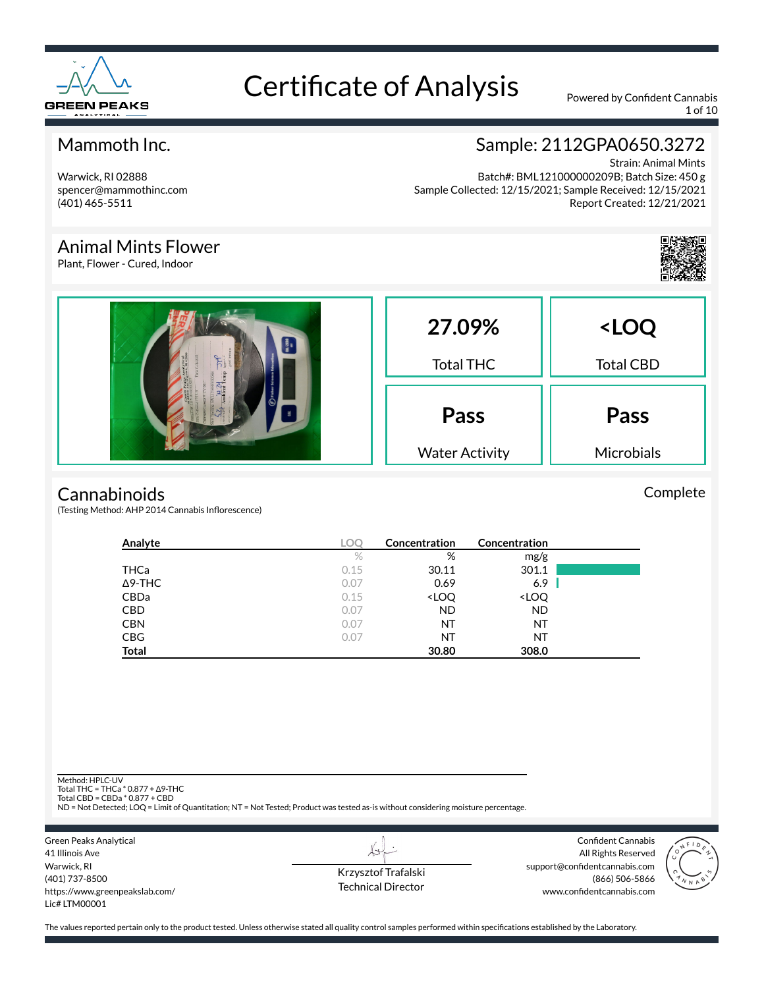

1 of 10

#### Mammoth Inc.

Warwick, RI 02888 spencer@mammothinc.com (401) 465-5511

Animal Mints Flower Plant, Flower - Cured, Indoor

#### Sample: 2112GPA0650.3272

Strain: Animal Mints Batch#: BML121000000209B; Batch Size: 450 g Sample Collected: 12/15/2021; Sample Received: 12/15/2021 Report Created: 12/21/2021



#### **Cannabinoids**

(Testing Method: AHP 2014 Cannabis Inflorescence)

| Analyte        | LOC  | Concentration                                            | Concentration                |  |
|----------------|------|----------------------------------------------------------|------------------------------|--|
|                | $\%$ | %                                                        | mg/g                         |  |
| THCa           | 0.15 | 30.11                                                    | 301.1                        |  |
| $\Delta$ 9-THC | 0.07 | 0.69                                                     | 6.9                          |  |
| CBDa           | 0.15 | <loq< td=""><td><loq< td=""><td></td></loq<></td></loq<> | <loq< td=""><td></td></loq<> |  |
| <b>CBD</b>     | 0.07 | <b>ND</b>                                                | <b>ND</b>                    |  |
| <b>CBN</b>     | 0.07 | NT                                                       | ΝT                           |  |
| <b>CBG</b>     | 0.07 | ΝT                                                       | ΝT                           |  |
| <b>Total</b>   |      | 30.80                                                    | 308.0                        |  |

Method: HPLC-UV

Total THC = THCa \* 0.877 + ∆9-THC Total CBD = CBDa \* 0.877 + CBD

ND = Not Detected; LOQ = Limit of Quantitation; NT = Not Tested; Product was tested as-is without considering moisture percentage.

Green Peaks Analytical 41 Illinois Ave Warwick, RI (401) 737-8500 https://www.greenpeakslab.com/ Lic# LTM00001

Krzysztof Trafalski Technical Director

Confident Cannabis All Rights Reserved support@confidentcannabis.com (866) 506-5866 www.confidentcannabis.com



The values reported pertain only to the product tested. Unless otherwise stated all quality control samples performed within specifications established by the Laboratory.

Complete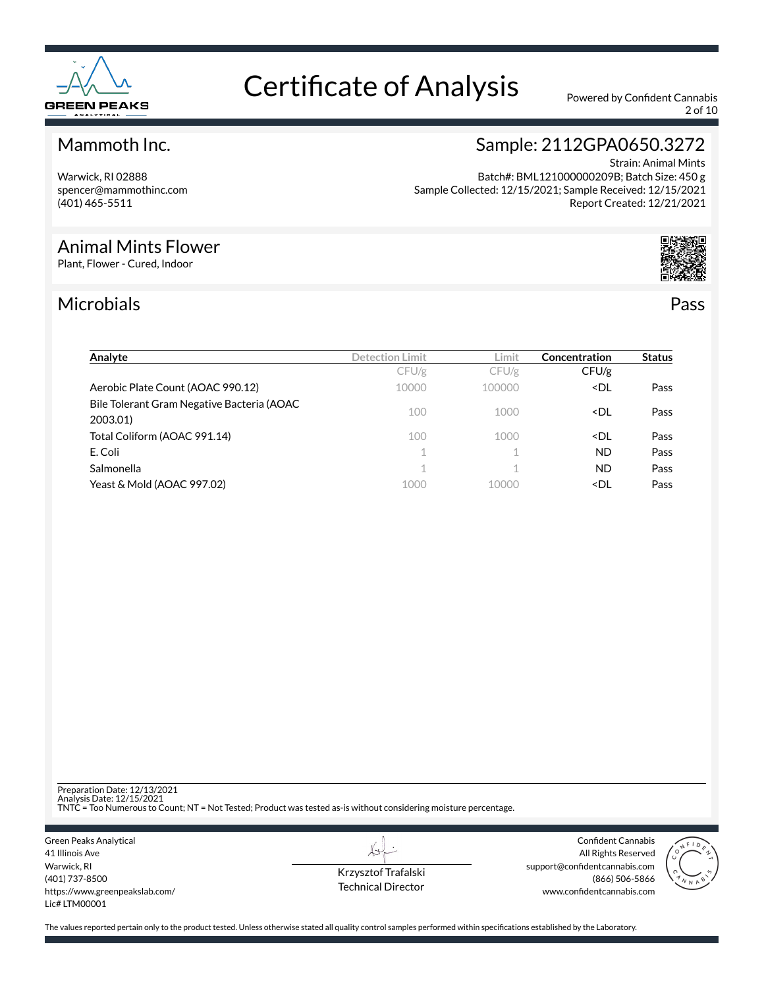

2 of 10

#### Mammoth Inc.

Warwick, RI 02888 spencer@mammothinc.com (401) 465-5511

#### Strain: Animal Mints Batch#: BML121000000209B; Batch Size: 450 g Sample Collected: 12/15/2021; Sample Received: 12/15/2021 Report Created: 12/21/2021

Sample: 2112GPA0650.3272

#### Animal Mints Flower

Plant, Flower - Cured, Indoor

#### Microbials Pass



| Analyte                                                | Detection Limit | Limit          | Concentration                  | <b>Status</b> |
|--------------------------------------------------------|-----------------|----------------|--------------------------------|---------------|
|                                                        | CFU/g           | CFU/g          | CFU/g                          |               |
| Aerobic Plate Count (AOAC 990.12)                      | 10000           | 100000         | <dl< td=""><td>Pass</td></dl<> | Pass          |
| Bile Tolerant Gram Negative Bacteria (AOAC<br>2003.01) | 100             | 1000           | <dl< td=""><td>Pass</td></dl<> | Pass          |
| Total Coliform (AOAC 991.14)                           | 100             | 1000           | <dl< td=""><td>Pass</td></dl<> | Pass          |
| E. Coli                                                | $\mathbf{1}$    |                | <b>ND</b>                      | Pass          |
| Salmonella                                             | 1.              | $\overline{A}$ | <b>ND</b>                      | Pass          |
| Yeast & Mold (AOAC 997.02)                             | 1000            | 10000          | <dl< td=""><td>Pass</td></dl<> | Pass          |

Preparation Date: 12/13/2021 Analysis Date: 12/15/2021 TNTC = Too Numerous to Count; NT = Not Tested; Product was tested as-is without considering moisture percentage.

Green Peaks Analytical 41 Illinois Ave Warwick, RI (401) 737-8500 https://www.greenpeakslab.com/ Lic# LTM00001

Krzysztof Trafalski Technical Director

L+

Confident Cannabis All Rights Reserved support@confidentcannabis.com (866) 506-5866 www.confidentcannabis.com

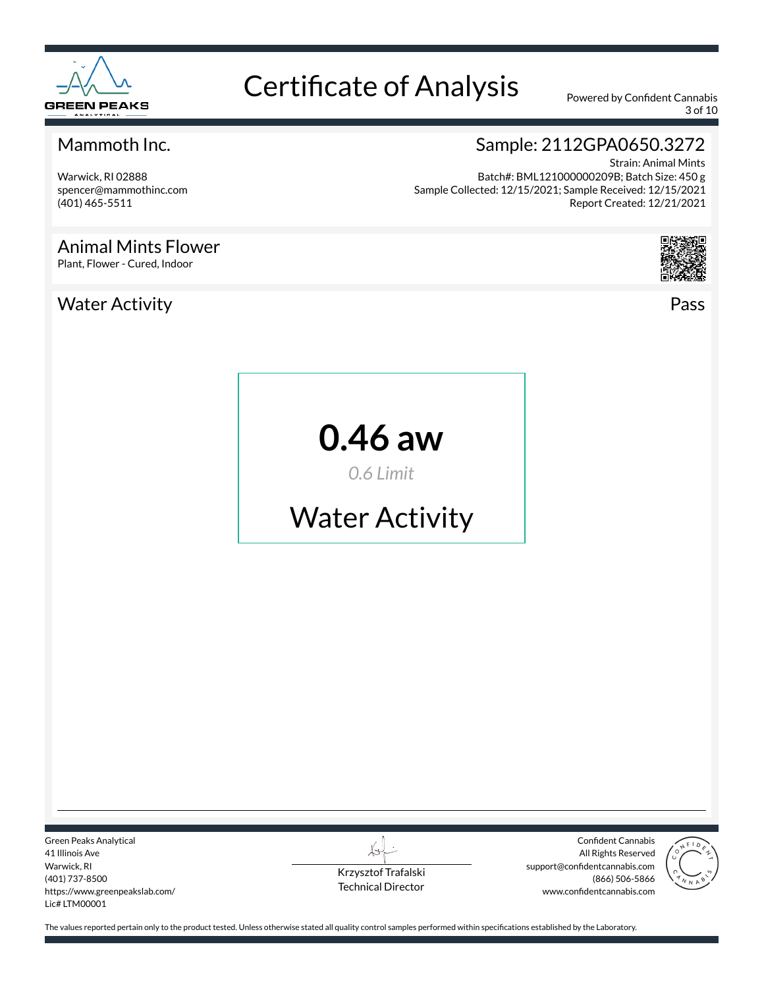

3 of 10

#### Mammoth Inc.

Warwick, RI 02888 spencer@mammothinc.com (401) 465-5511

#### Animal Mints Flower

Plant, Flower - Cured, Indoor

#### Water Activity Pass

Sample: 2112GPA0650.3272

Strain: Animal Mints Batch#: BML121000000209B; Batch Size: 450 g Sample Collected: 12/15/2021; Sample Received: 12/15/2021 Report Created: 12/21/2021



**0.46 aw**

*0.6 Limit*

# Water Activity

Green Peaks Analytical 41 Illinois Ave Warwick, RI (401) 737-8500 https://www.greenpeakslab.com/ Lic# LTM00001

Krzysztof Trafalski Technical Director

Confident Cannabis All Rights Reserved support@confidentcannabis.com (866) 506-5866 www.confidentcannabis.com

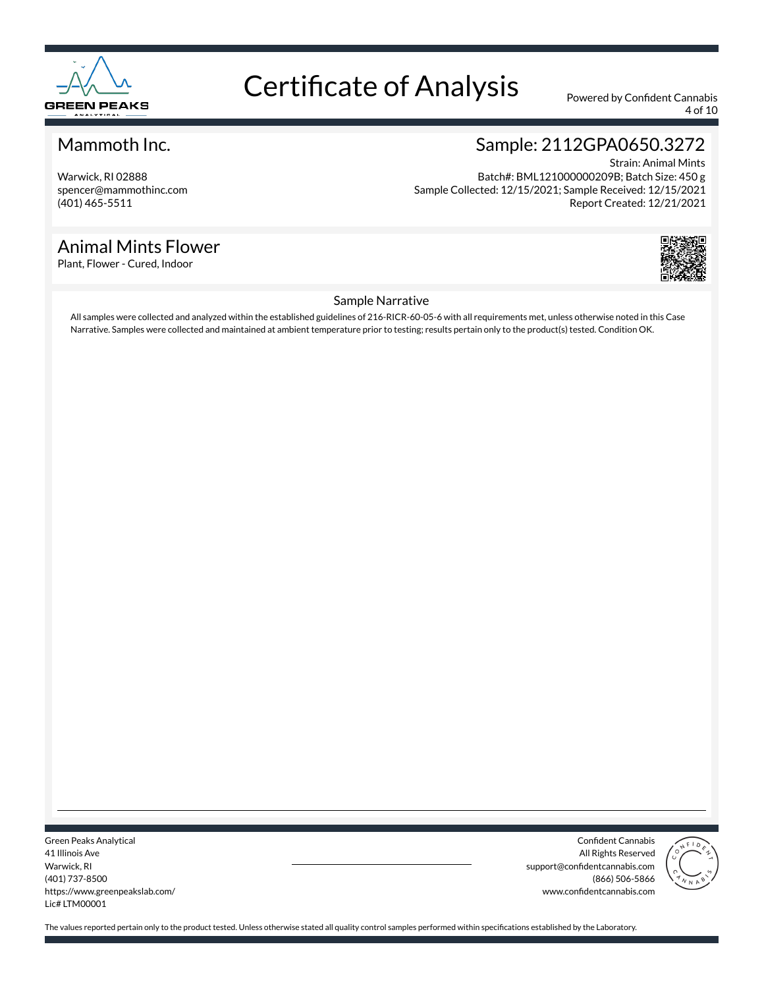

4 of 10

#### Mammoth Inc.

Warwick, RI 02888 spencer@mammothinc.com (401) 465-5511

#### Animal Mints Flower

Plant, Flower - Cured, Indoor

### Sample: 2112GPA0650.3272

Strain: Animal Mints Batch#: BML121000000209B; Batch Size: 450 g Sample Collected: 12/15/2021; Sample Received: 12/15/2021 Report Created: 12/21/2021



#### Sample Narrative

All samples were collected and analyzed within the established guidelines of 216-RICR-60-05-6 with all requirements met, unless otherwise noted in this Case Narrative. Samples were collected and maintained at ambient temperature prior to testing; results pertain only to the product(s) tested. Condition OK.

Green Peaks Analytical 41 Illinois Ave Warwick, RI (401) 737-8500 https://www.greenpeakslab.com/ Lic# LTM00001

Confident Cannabis All Rights Reserved support@confidentcannabis.com (866) 506-5866 www.confidentcannabis.com

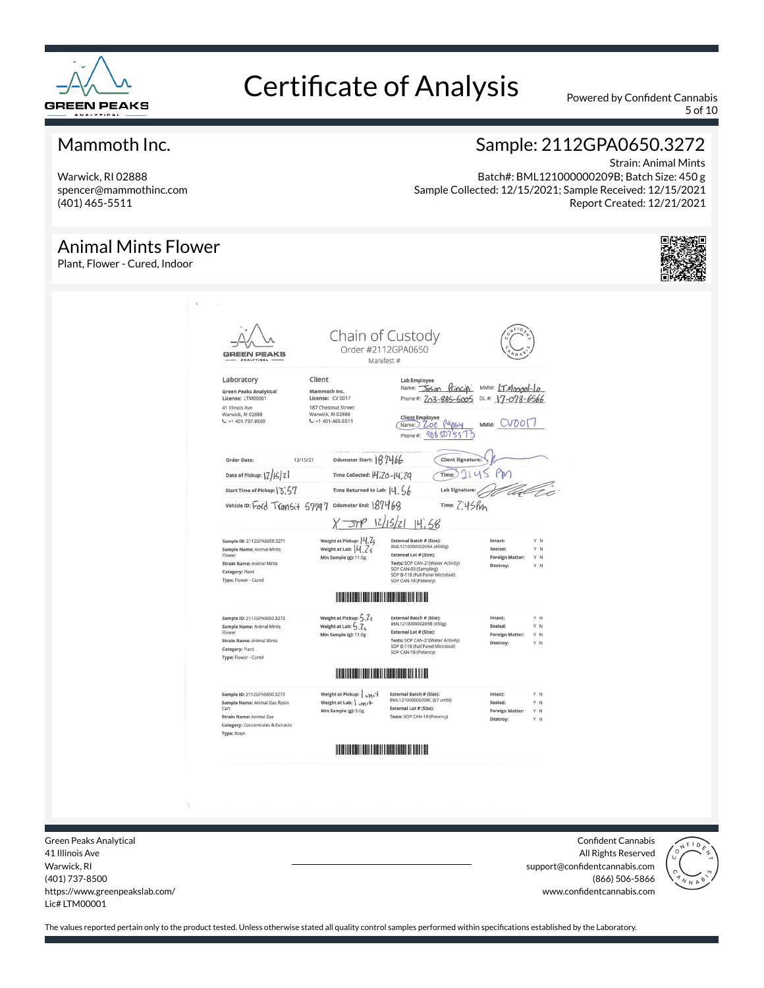

5 of 10

#### Mammoth Inc.

Warwick, RI 02888 spencer@mammothinc.com (401) 465-5511

#### Animal Mints Flower

Plant, Flower - Cured, Indoor

#### Sample: 2112GPA0650.3272

Strain: Animal Mints Batch#: BML121000000209B; Batch Size: 450 g Sample Collected: 12/15/2021; Sample Received: 12/15/2021 Report Created: 12/21/2021



Green Peaks Analytical 41 Illinois Ave Warwick, RI (401) 737-8500 https://www.greenpeakslab.com/ Lic# LTM00001

Confident Cannabis All Rights Reserved support@confidentcannabis.com (866) 506-5866 www.confidentcannabis.com

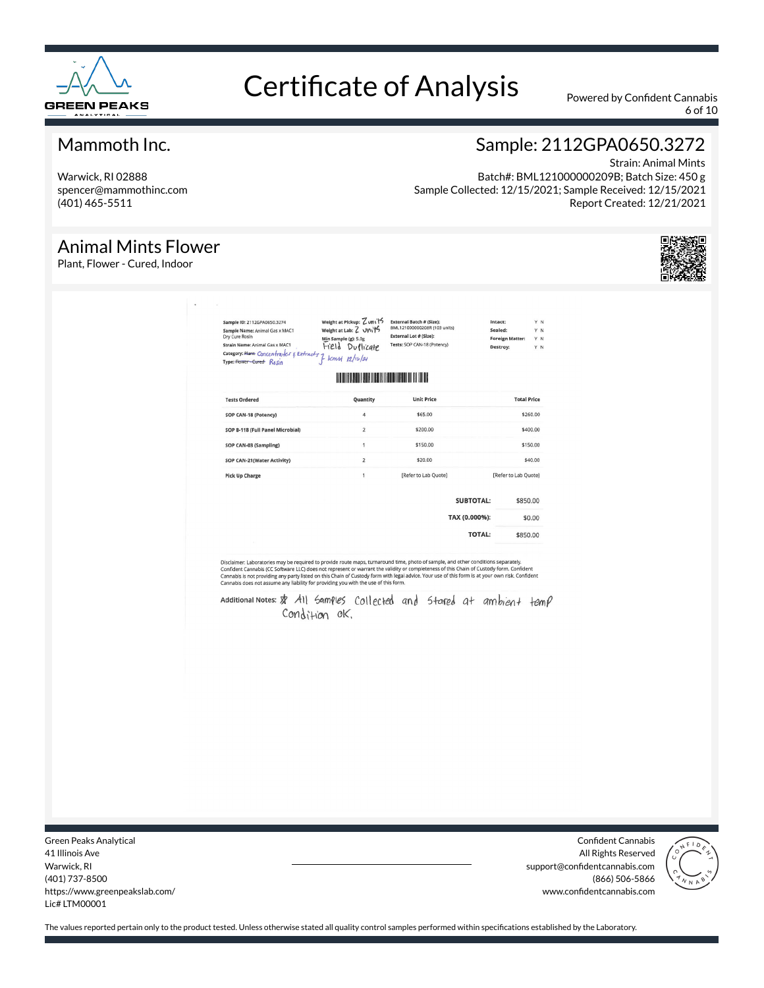

6 of 10

Report Created: 12/21/2021

Strain: Animal Mints

Sample: 2112GPA0650.3272

Batch#: BML121000000209B; Batch Size: 450 g

Sample Collected: 12/15/2021; Sample Received: 12/15/2021

#### Mammoth Inc.

Warwick, RI 02888 spencer@mammothinc.com (401) 465-5511

#### Animal Mints Flower

Plant, Flower - Cured, Indoor

| <b>Unit Price</b><br><b>Tests Ordered</b><br>Quantity<br>$\overline{4}$<br>\$65.00<br>SOP CAN-18 (Potency)<br>$\overline{2}$<br>\$200.00<br>SOP B-118 (Full Panel Microbial)<br>$\mathbf{1}$<br>\$150.00<br>SOP CAN-03 (Sampling)<br>$\overline{2}$<br>\$20.00<br>SOP CAN-21(Water Activity)<br>$\mathbf{1}$<br>[Refer to Lab Quote]<br><b>Pick Up Charge</b><br><b>SUBTOTAL:</b><br>TAX (0.000%):<br><b>TOTAL:</b><br>Disclaimer: Laboratories may be required to provide route maps, turnaround time, photo of sample, and other conditions separately.<br>Cannabis does not assume any liability for providing you with the use of this form. | [Refer to Lab Quote]<br>\$850.00<br>\$0.00<br>\$850.00<br>Confident Cannabis (CC Software LLC) does not represent or warrant the validity or completeness of this Chain of Custody form. Confident<br>Cannabis is not providing any party listed on this Chain of Custody form with legal advice. Your use of this form is at your own risk. Confident<br>Additional Notes: > All Samples Collected and Stared at ambient temp<br>Condition ok. | Strain Name: Aumour<br>Category: Riamt Concentrabler & Extracts } kennt 12/10/21 |  |                    |
|--------------------------------------------------------------------------------------------------------------------------------------------------------------------------------------------------------------------------------------------------------------------------------------------------------------------------------------------------------------------------------------------------------------------------------------------------------------------------------------------------------------------------------------------------------------------------------------------------------------------------------------------------|-------------------------------------------------------------------------------------------------------------------------------------------------------------------------------------------------------------------------------------------------------------------------------------------------------------------------------------------------------------------------------------------------------------------------------------------------|----------------------------------------------------------------------------------|--|--------------------|
|                                                                                                                                                                                                                                                                                                                                                                                                                                                                                                                                                                                                                                                  |                                                                                                                                                                                                                                                                                                                                                                                                                                                 |                                                                                  |  | <b>Total Price</b> |
|                                                                                                                                                                                                                                                                                                                                                                                                                                                                                                                                                                                                                                                  |                                                                                                                                                                                                                                                                                                                                                                                                                                                 |                                                                                  |  | \$260.00           |
|                                                                                                                                                                                                                                                                                                                                                                                                                                                                                                                                                                                                                                                  |                                                                                                                                                                                                                                                                                                                                                                                                                                                 |                                                                                  |  | \$400.00           |
|                                                                                                                                                                                                                                                                                                                                                                                                                                                                                                                                                                                                                                                  |                                                                                                                                                                                                                                                                                                                                                                                                                                                 |                                                                                  |  | \$150.00           |
|                                                                                                                                                                                                                                                                                                                                                                                                                                                                                                                                                                                                                                                  |                                                                                                                                                                                                                                                                                                                                                                                                                                                 |                                                                                  |  | \$40.00            |
|                                                                                                                                                                                                                                                                                                                                                                                                                                                                                                                                                                                                                                                  |                                                                                                                                                                                                                                                                                                                                                                                                                                                 |                                                                                  |  |                    |
|                                                                                                                                                                                                                                                                                                                                                                                                                                                                                                                                                                                                                                                  |                                                                                                                                                                                                                                                                                                                                                                                                                                                 |                                                                                  |  |                    |
|                                                                                                                                                                                                                                                                                                                                                                                                                                                                                                                                                                                                                                                  |                                                                                                                                                                                                                                                                                                                                                                                                                                                 |                                                                                  |  |                    |
|                                                                                                                                                                                                                                                                                                                                                                                                                                                                                                                                                                                                                                                  |                                                                                                                                                                                                                                                                                                                                                                                                                                                 |                                                                                  |  |                    |
|                                                                                                                                                                                                                                                                                                                                                                                                                                                                                                                                                                                                                                                  |                                                                                                                                                                                                                                                                                                                                                                                                                                                 |                                                                                  |  |                    |
|                                                                                                                                                                                                                                                                                                                                                                                                                                                                                                                                                                                                                                                  |                                                                                                                                                                                                                                                                                                                                                                                                                                                 |                                                                                  |  |                    |
|                                                                                                                                                                                                                                                                                                                                                                                                                                                                                                                                                                                                                                                  |                                                                                                                                                                                                                                                                                                                                                                                                                                                 |                                                                                  |  |                    |
|                                                                                                                                                                                                                                                                                                                                                                                                                                                                                                                                                                                                                                                  |                                                                                                                                                                                                                                                                                                                                                                                                                                                 |                                                                                  |  |                    |
|                                                                                                                                                                                                                                                                                                                                                                                                                                                                                                                                                                                                                                                  |                                                                                                                                                                                                                                                                                                                                                                                                                                                 |                                                                                  |  |                    |
|                                                                                                                                                                                                                                                                                                                                                                                                                                                                                                                                                                                                                                                  |                                                                                                                                                                                                                                                                                                                                                                                                                                                 |                                                                                  |  |                    |
|                                                                                                                                                                                                                                                                                                                                                                                                                                                                                                                                                                                                                                                  |                                                                                                                                                                                                                                                                                                                                                                                                                                                 |                                                                                  |  |                    |
|                                                                                                                                                                                                                                                                                                                                                                                                                                                                                                                                                                                                                                                  |                                                                                                                                                                                                                                                                                                                                                                                                                                                 |                                                                                  |  |                    |

Green Peaks Analytical 41 Illinois Ave Warwick, RI (401) 737-8500 https://www.greenpeakslab.com/ Lic# LTM00001

Confident Cannabis All Rights Reserved support@confidentcannabis.com (866) 506-5866 www.confidentcannabis.com

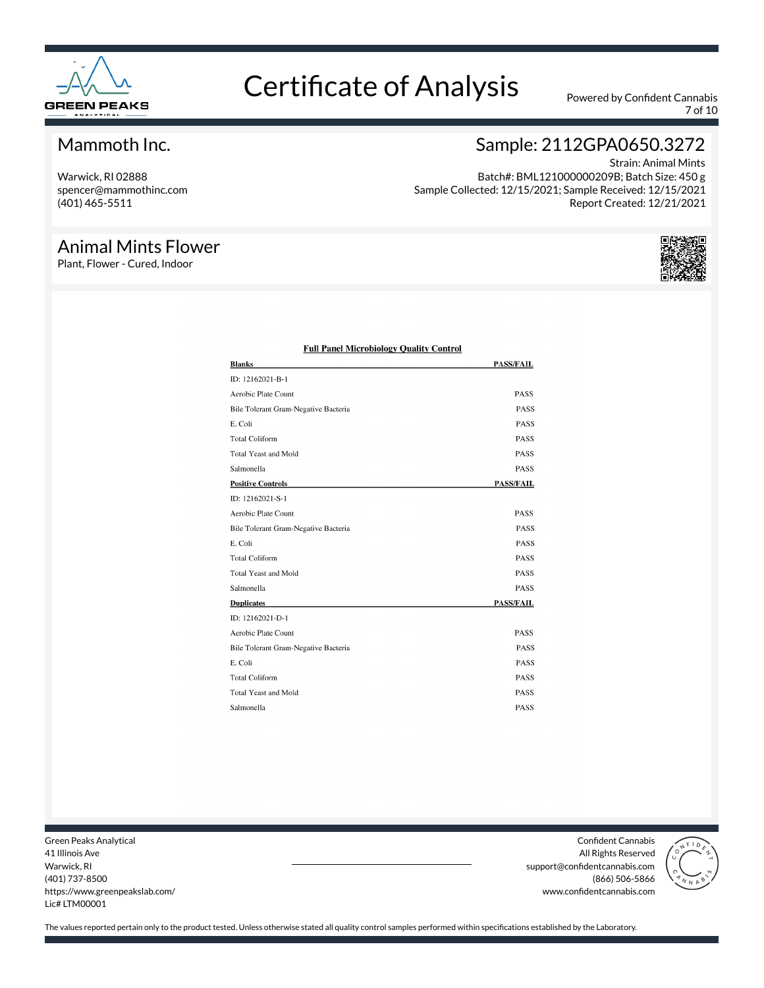

7 of 10

#### Mammoth Inc.

Warwick, RI 02888 spencer@mammothinc.com (401) 465-5511

#### Animal Mints Flower

Plant, Flower - Cured, Indoor

#### Sample: 2112GPA0650.3272

Strain: Animal Mints Batch#: BML121000000209B; Batch Size: 450 g Sample Collected: 12/15/2021; Sample Received: 12/15/2021 Report Created: 12/21/2021



| <b>Blanks</b>                        | <b>PASS/FAIL</b> |
|--------------------------------------|------------------|
| ID: 12162021-B-1                     |                  |
| Aerobic Plate Count                  | <b>PASS</b>      |
| Bile Tolerant Gram-Negative Bacteria | PASS             |
| E. Coli                              | PASS             |
| <b>Total Coliform</b>                | <b>PASS</b>      |
| <b>Total Yeast and Mold</b>          | <b>PASS</b>      |
| Salmonella                           | PASS             |
| <b>Positive Controls</b>             | <b>PASS/FAIL</b> |
| ID: 12162021-S-1                     |                  |
| Aerobic Plate Count                  | <b>PASS</b>      |
| Bile Tolerant Gram-Negative Bacteria | <b>PASS</b>      |
| E. Coli                              | <b>PASS</b>      |
| <b>Total Coliform</b>                | <b>PASS</b>      |
| <b>Total Yeast and Mold</b>          | <b>PASS</b>      |
| Salmonella                           | <b>PASS</b>      |
| <b>Duplicates</b>                    | <b>PASS/FAIL</b> |
| ID: 12162021-D-1                     |                  |
| Aerobic Plate Count                  | <b>PASS</b>      |
| Bile Tolerant Gram-Negative Bacteria | <b>PASS</b>      |
| E. Coli                              | <b>PASS</b>      |
| <b>Total Coliform</b>                | <b>PASS</b>      |
| <b>Total Yeast and Mold</b>          | <b>PASS</b>      |
| Salmonella                           | PASS             |
|                                      |                  |

#### **Full Panel Microbiology Quality Control**

Green Peaks Analytical 41 Illinois Ave Warwick, RI (401) 737-8500 https://www.greenpeakslab.com/ Lic# LTM00001

Confident Cannabis All Rights Reserved support@confidentcannabis.com (866) 506-5866 www.confidentcannabis.com

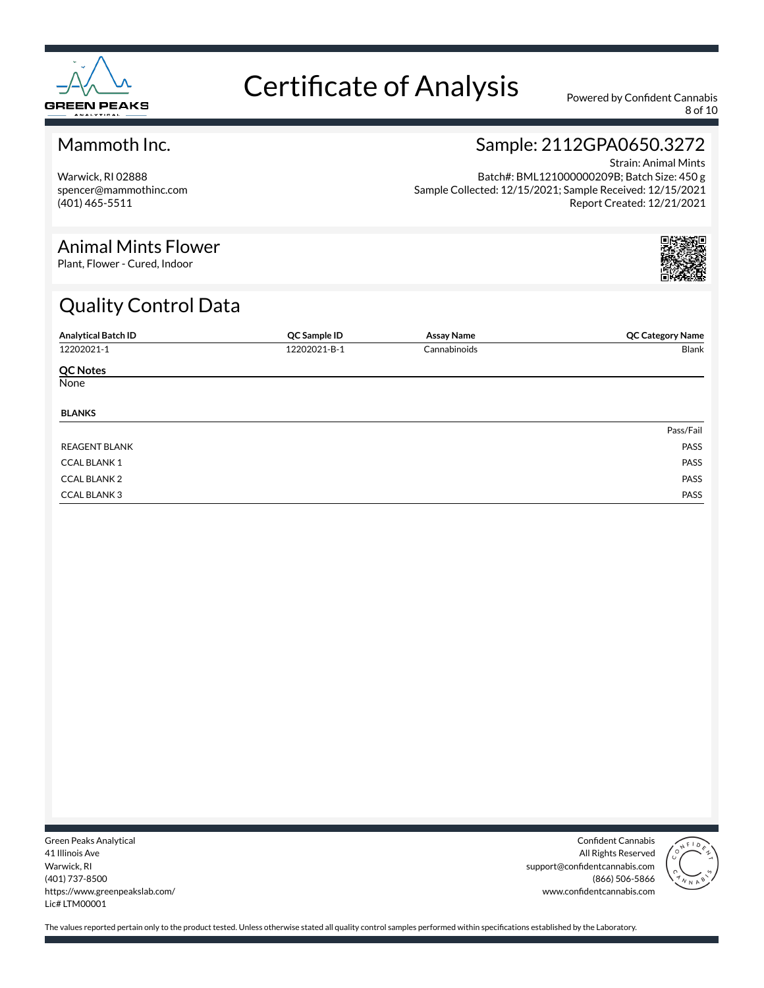

8 of 10

#### Mammoth Inc.

Warwick, RI 02888 spencer@mammothinc.com (401) 465-5511

#### Sample: 2112GPA0650.3272

Strain: Animal Mints Batch#: BML121000000209B; Batch Size: 450 g Sample Collected: 12/15/2021; Sample Received: 12/15/2021 Report Created: 12/21/2021

#### Animal Mints Flower

Plant, Flower - Cured, Indoor

### Quality Control Data

| <b>Analytical Batch ID</b> | QC Sample ID | <b>Assay Name</b> | <b>QC Category Name</b> |
|----------------------------|--------------|-------------------|-------------------------|
| 12202021-1                 | 12202021-B-1 | Cannabinoids      | Blank                   |
| <b>QC Notes</b>            |              |                   |                         |
| None                       |              |                   |                         |
| <b>BLANKS</b>              |              |                   |                         |
|                            |              |                   | Pass/Fail               |
| <b>REAGENT BLANK</b>       |              |                   | PASS                    |
| <b>CCAL BLANK1</b>         |              |                   | PASS                    |
| <b>CCAL BLANK 2</b>        |              |                   | PASS                    |
| <b>CCAL BLANK3</b>         |              |                   | PASS                    |

Green Peaks Analytical 41 Illinois Ave Warwick, RI (401) 737-8500 https://www.greenpeakslab.com/ Lic# LTM00001

Confident Cannabis All Rights Reserved support@confidentcannabis.com (866) 506-5866 www.confidentcannabis.com

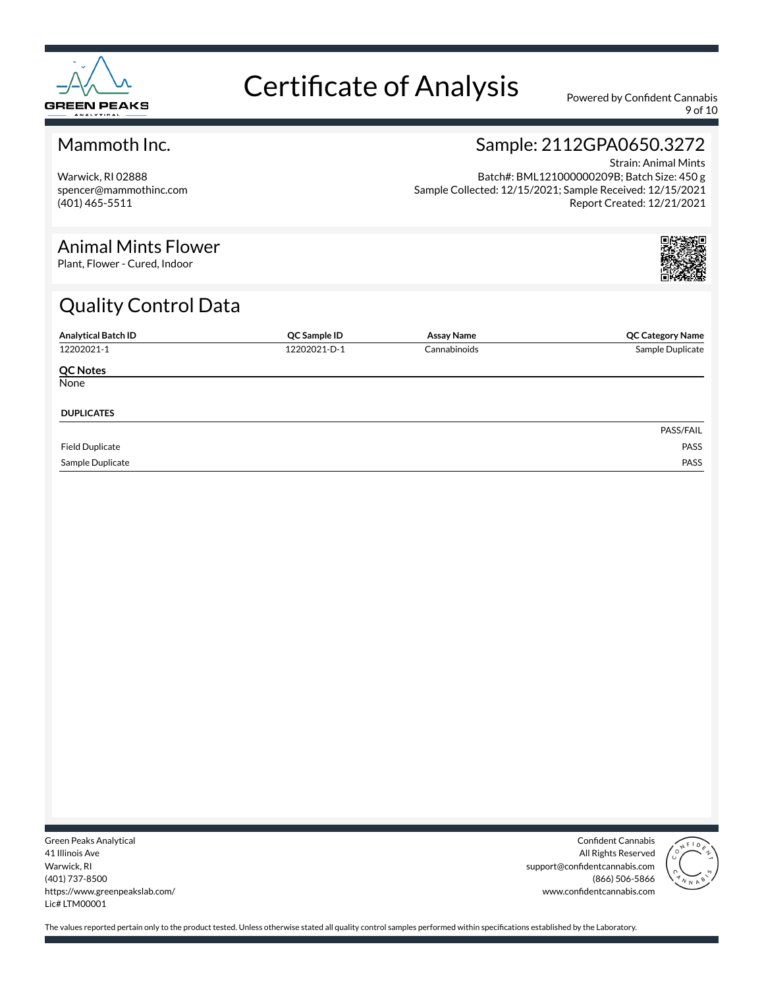

9 of 10

#### Mammoth Inc.

Warwick, RI 02888 spencer@mammothinc.com (401) 465-5511

#### Sample: 2112GPA0650.3272

Strain: Animal Mints Batch#: BML121000000209B; Batch Size: 450 g Sample Collected: 12/15/2021; Sample Received: 12/15/2021 Report Created: 12/21/2021

#### Animal Mints Flower

Plant, Flower - Cured, Indoor

### Quality Control Data

| <b>Analytical Batch ID</b> | QC Sample ID | <b>Assay Name</b> | <b>QC Category Name</b> |
|----------------------------|--------------|-------------------|-------------------------|
| 12202021-1                 | 12202021-D-1 | Cannabinoids      | Sample Duplicate        |
| <b>QC Notes</b>            |              |                   |                         |
| None                       |              |                   |                         |
| <b>DUPLICATES</b>          |              |                   |                         |
|                            |              |                   | PASS/FAIL               |
| <b>Field Duplicate</b>     |              |                   | PASS                    |
| Sample Duplicate           |              |                   | PASS                    |

Green Peaks Analytical 41 Illinois Ave Warwick, RI (401) 737-8500 https://www.greenpeakslab.com/ Lic# LTM00001

Confident Cannabis All Rights Reserved support@confidentcannabis.com (866) 506-5866 www.confidentcannabis.com